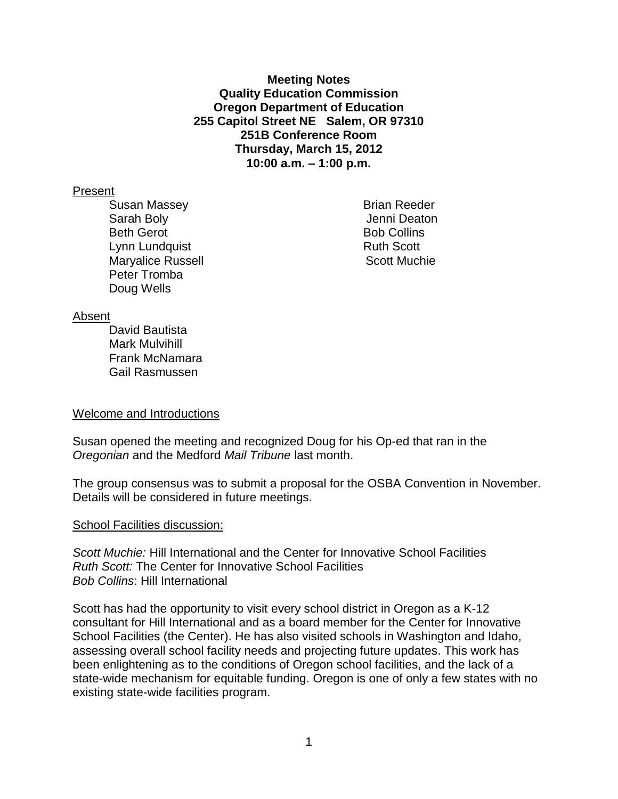**Meeting Notes Quality Education Commission Oregon Department of Education 255 Capitol Street NE Salem, OR 97310 251B Conference Room Thursday, March 15, 2012 10:00 a.m. – 1:00 p.m.**

### Present

Susan Massey **Brian Reeder** Brian Reeder Sarah Boly Jenni Deaton Beth Gerot **Bob Collins** Lynn Lundquist **Ruth Scott** Maryalice Russell **Maryalice** Russell **Scott Muchie** Peter Tromba Doug Wells

#### Absent

David Bautista Mark Mulvihill Frank McNamara Gail Rasmussen

### Welcome and Introductions

Susan opened the meeting and recognized Doug for his Op-ed that ran in the *Oregonian* and the Medford *Mail Tribune* last month.

The group consensus was to submit a proposal for the OSBA Convention in November. Details will be considered in future meetings.

#### School Facilities discussion:

*Scott Muchie:* Hill International and the Center for Innovative School Facilities *Ruth Scott:* The Center for Innovative School Facilities *Bob Collins*: Hill International

Scott has had the opportunity to visit every school district in Oregon as a K-12 consultant for Hill International and as a board member for the Center for Innovative School Facilities (the Center). He has also visited schools in Washington and Idaho, assessing overall school facility needs and projecting future updates. This work has been enlightening as to the conditions of Oregon school facilities, and the lack of a state-wide mechanism for equitable funding. Oregon is one of only a few states with no existing state-wide facilities program.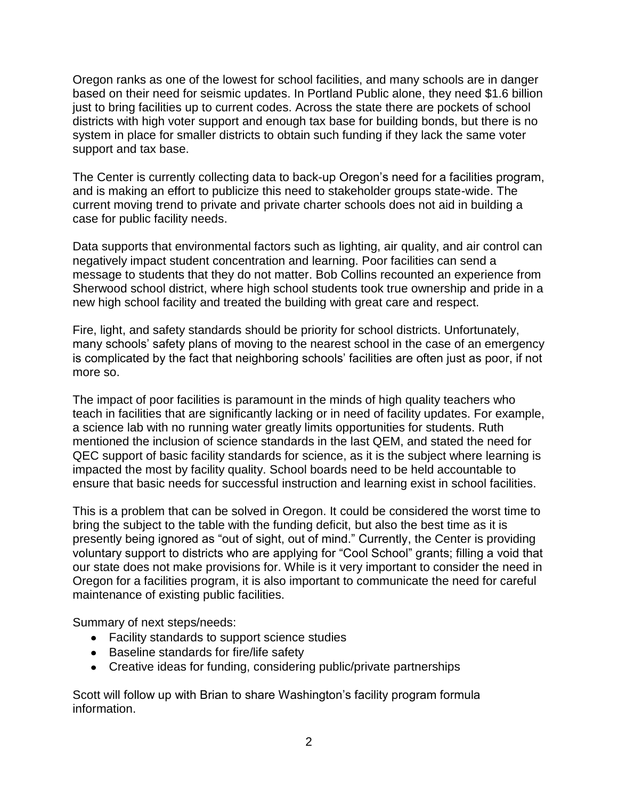Oregon ranks as one of the lowest for school facilities, and many schools are in danger based on their need for seismic updates. In Portland Public alone, they need \$1.6 billion just to bring facilities up to current codes. Across the state there are pockets of school districts with high voter support and enough tax base for building bonds, but there is no system in place for smaller districts to obtain such funding if they lack the same voter support and tax base.

The Center is currently collecting data to back-up Oregon's need for a facilities program, and is making an effort to publicize this need to stakeholder groups state-wide. The current moving trend to private and private charter schools does not aid in building a case for public facility needs.

Data supports that environmental factors such as lighting, air quality, and air control can negatively impact student concentration and learning. Poor facilities can send a message to students that they do not matter. Bob Collins recounted an experience from Sherwood school district, where high school students took true ownership and pride in a new high school facility and treated the building with great care and respect.

Fire, light, and safety standards should be priority for school districts. Unfortunately, many schools' safety plans of moving to the nearest school in the case of an emergency is complicated by the fact that neighboring schools' facilities are often just as poor, if not more so.

The impact of poor facilities is paramount in the minds of high quality teachers who teach in facilities that are significantly lacking or in need of facility updates. For example, a science lab with no running water greatly limits opportunities for students. Ruth mentioned the inclusion of science standards in the last QEM, and stated the need for QEC support of basic facility standards for science, as it is the subject where learning is impacted the most by facility quality. School boards need to be held accountable to ensure that basic needs for successful instruction and learning exist in school facilities.

This is a problem that can be solved in Oregon. It could be considered the worst time to bring the subject to the table with the funding deficit, but also the best time as it is presently being ignored as "out of sight, out of mind." Currently, the Center is providing voluntary support to districts who are applying for "Cool School" grants; filling a void that our state does not make provisions for. While is it very important to consider the need in Oregon for a facilities program, it is also important to communicate the need for careful maintenance of existing public facilities.

Summary of next steps/needs:

- Facility standards to support science studies
- Baseline standards for fire/life safety
- Creative ideas for funding, considering public/private partnerships

Scott will follow up with Brian to share Washington's facility program formula information.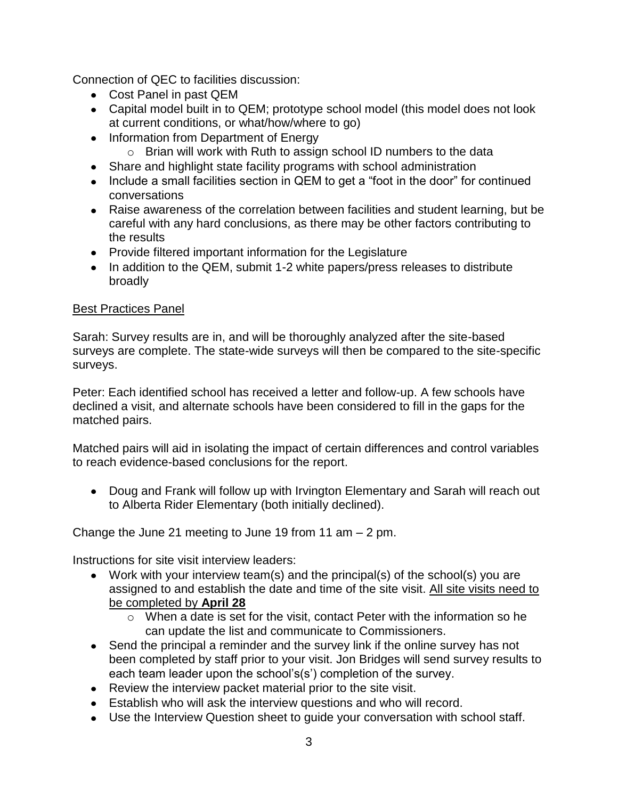Connection of QEC to facilities discussion:

- Cost Panel in past QEM
- Capital model built in to QEM; prototype school model (this model does not look at current conditions, or what/how/where to go)
- Information from Department of Energy
	- o Brian will work with Ruth to assign school ID numbers to the data
- Share and highlight state facility programs with school administration
- Include a small facilities section in QEM to get a "foot in the door" for continued conversations
- Raise awareness of the correlation between facilities and student learning, but be careful with any hard conclusions, as there may be other factors contributing to the results
- Provide filtered important information for the Legislature
- In addition to the QEM, submit 1-2 white papers/press releases to distribute broadly

# Best Practices Panel

Sarah: Survey results are in, and will be thoroughly analyzed after the site-based surveys are complete. The state-wide surveys will then be compared to the site-specific surveys.

Peter: Each identified school has received a letter and follow-up. A few schools have declined a visit, and alternate schools have been considered to fill in the gaps for the matched pairs.

Matched pairs will aid in isolating the impact of certain differences and control variables to reach evidence-based conclusions for the report.

• Doug and Frank will follow up with Irvington Elementary and Sarah will reach out to Alberta Rider Elementary (both initially declined).

Change the June 21 meeting to June 19 from 11 am – 2 pm.

Instructions for site visit interview leaders:

- Work with your interview team(s) and the principal(s) of the school(s) you are assigned to and establish the date and time of the site visit. All site visits need to be completed by **April 28**
	- o When a date is set for the visit, contact Peter with the information so he can update the list and communicate to Commissioners.
- Send the principal a reminder and the survey link if the online survey has not been completed by staff prior to your visit. Jon Bridges will send survey results to each team leader upon the school's(s') completion of the survey.
- Review the interview packet material prior to the site visit.
- Establish who will ask the interview questions and who will record.
- Use the Interview Question sheet to guide your conversation with school staff.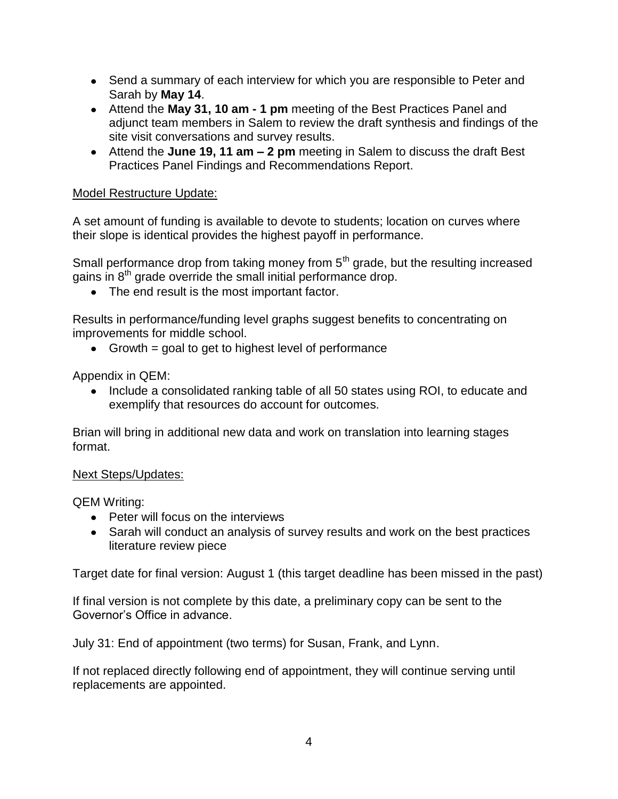- Send a summary of each interview for which you are responsible to Peter and Sarah by **May 14**.
- Attend the **May 31, 10 am - 1 pm** meeting of the Best Practices Panel and adjunct team members in Salem to review the draft synthesis and findings of the site visit conversations and survey results.
- Attend the **June 19, 11 am – 2 pm** meeting in Salem to discuss the draft Best Practices Panel Findings and Recommendations Report.

# Model Restructure Update:

A set amount of funding is available to devote to students; location on curves where their slope is identical provides the highest payoff in performance.

Small performance drop from taking money from  $5<sup>th</sup>$  grade, but the resulting increased gains in  $8<sup>th</sup>$  grade override the small initial performance drop.

• The end result is the most important factor.

Results in performance/funding level graphs suggest benefits to concentrating on improvements for middle school.

Growth = goal to get to highest level of performance

Appendix in QEM:

Include a consolidated ranking table of all 50 states using ROI, to educate and exemplify that resources do account for outcomes.

Brian will bring in additional new data and work on translation into learning stages format.

## Next Steps/Updates:

QEM Writing:

- Peter will focus on the interviews
- Sarah will conduct an analysis of survey results and work on the best practices literature review piece

Target date for final version: August 1 (this target deadline has been missed in the past)

If final version is not complete by this date, a preliminary copy can be sent to the Governor's Office in advance.

July 31: End of appointment (two terms) for Susan, Frank, and Lynn.

If not replaced directly following end of appointment, they will continue serving until replacements are appointed.